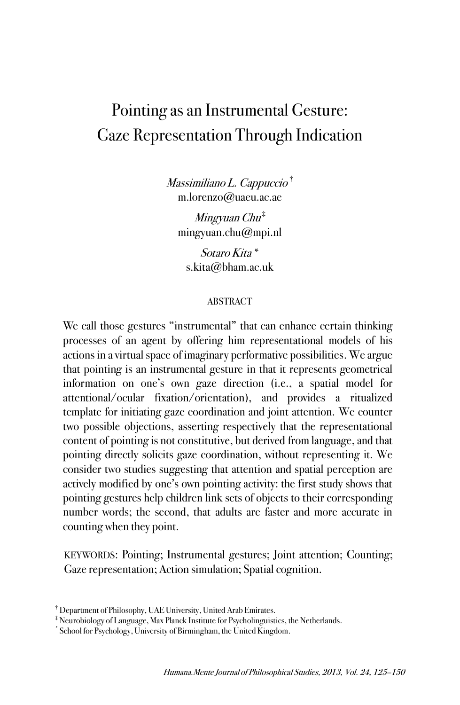# Pointing as an Instrumental Gesture: Gaze Representation Through Indication

Massimiliano L. Cappuccio † m.lorenzo@uaeu.ac.ae

Mingyuan Chu ‡ mingyuan.chu@mpi.nl

Sotaro Kita \* s.kita@bham.ac.uk

### ABSTRACT

We call those gestures "instrumental" that can enhance certain thinking processes of an agent by offering him representational models of his actions in a virtual space of imaginary performative possibilities. We argue that pointing is an instrumental gesture in that it represents geometrical information on one's own gaze direction (i.e., a spatial model for attentional/ocular fixation/orientation), and provides a ritualized template for initiating gaze coordination and joint attention. We counter two possible objections, asserting respectively that the representational content of pointing is not constitutive, but derived from language, and that pointing directly solicits gaze coordination, without representing it. We consider two studies suggesting that attention and spatial perception are actively modified by one's own pointing activity: the first study shows that pointing gestures help children link sets of objects to their corresponding number words; the second, that adults are faster and more accurate in counting when they point.

KEYWORDS: Pointing; Instrumental gestures; Joint attention; Counting; Gaze representation; Action simulation; Spatial cognition.

<sup>†</sup> Department of Philosophy, UAE University, United Arab Emirates.

<sup>‡</sup> Neurobiology of Language, Max Planck Institute for Psycholinguistics, the Netherlands.

<sup>\*</sup> School for Psychology, University of Birmingham, the United Kingdom.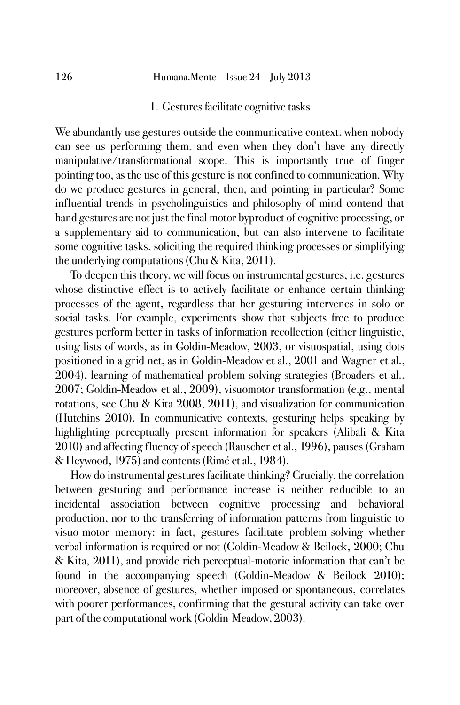1. Gestures facilitate cognitive tasks

We abundantly use gestures outside the communicative context, when nobody can see us performing them, and even when they don't have any directly manipulative/transformational scope. This is importantly true of finger pointing too, as the use of this gesture is not confined to communication. Why do we produce gestures in general, then, and pointing in particular? Some influential trends in psycholinguistics and philosophy of mind contend that hand gestures are not just the final motor byproduct of cognitive processing, or a supplementary aid to communication, but can also intervene to facilitate some cognitive tasks, soliciting the required thinking processes or simplifying the underlying computations (Chu & Kita, 2011).

To deepen this theory, we will focus on instrumental gestures, i.e. gestures whose distinctive effect is to actively facilitate or enhance certain thinking processes of the agent, regardless that her gesturing intervenes in solo or social tasks. For example, experiments show that subjects free to produce gestures perform better in tasks of information recollection (either linguistic, using lists of words, as in Goldin-Meadow, 2003, or visuospatial, using dots positioned in a grid net, as in Goldin-Meadow et al., 2001 and Wagner et al., 2004), learning of mathematical problem-solving strategies (Broaders et al., 2007; Goldin-Meadow et al., 2009), visuomotor transformation (e.g., mental rotations, see Chu & Kita 2008, 2011), and visualization for communication (Hutchins 2010). In communicative contexts, gesturing helps speaking by highlighting perceptually present information for speakers (Alibali & Kita 2010) and affecting fluency of speech (Rauscher et al., 1996), pauses (Graham & Heywood, 1975) and contents (Rimé et al., 1984).

How do instrumental gestures facilitate thinking? Crucially, the correlation between gesturing and performance increase is neither reducible to an incidental association between cognitive processing and behavioral production, nor to the transferring of information patterns from linguistic to visuo-motor memory: in fact, gestures facilitate problem-solving whether verbal information is required or not (Goldin-Meadow & Beilock, 2000; Chu & Kita, 2011), and provide rich perceptual-motoric information that can't be found in the accompanying speech (Goldin-Meadow & Beilock 2010); moreover, absence of gestures, whether imposed or spontaneous, correlates with poorer performances, confirming that the gestural activity can take over part of the computational work (Goldin-Meadow, 2003).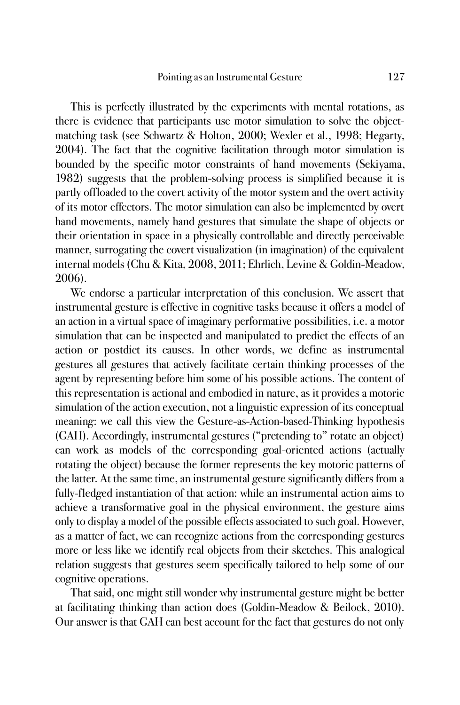This is perfectly illustrated by the experiments with mental rotations, as there is evidence that participants use motor simulation to solve the objectmatching task (see Schwartz & Holton, 2000; Wexler et al., 1998; Hegarty, 2004). The fact that the cognitive facilitation through motor simulation is bounded by the specific motor constraints of hand movements (Sekiyama, 1982) suggests that the problem-solving process is simplified because it is partly offloaded to the covert activity of the motor system and the overt activity of its motor effectors. The motor simulation can also be implemented by overt hand movements, namely hand gestures that simulate the shape of objects or their orientation in space in a physically controllable and directly perceivable manner, surrogating the covert visualization (in imagination) of the equivalent internal models (Chu & Kita, 2008, 2011; Ehrlich, Levine & Goldin-Meadow, 2006).

We endorse a particular interpretation of this conclusion. We assert that instrumental gesture is effective in cognitive tasks because it offers a model of an action in a virtual space of imaginary performative possibilities, i.e. a motor simulation that can be inspected and manipulated to predict the effects of an action or postdict its causes. In other words, we define as instrumental gestures all gestures that actively facilitate certain thinking processes of the agent by representing before him some of his possible actions. The content of this representation is actional and embodied in nature, as it provides a motoric simulation of the action execution, not a linguistic expression of its conceptual meaning: we call this view the Gesture-as-Action-based-Thinking hypothesis (GAH). Accordingly, instrumental gestures ("pretending to" rotate an object) can work as models of the corresponding goal-oriented actions (actually rotating the object) because the former represents the key motoric patterns of the latter. At the same time, an instrumental gesture significantly differs from a fully-fledged instantiation of that action: while an instrumental action aims to achieve a transformative goal in the physical environment, the gesture aims only to display a model of the possible effects associated to such goal. However, as a matter of fact, we can recognize actions from the corresponding gestures more or less like we identify real objects from their sketches. This analogical relation suggests that gestures seem specifically tailored to help some of our cognitive operations.

That said, one might still wonder why instrumental gesture might be better at facilitating thinking than action does (Goldin-Meadow & Beilock, 2010). Our answer is that GAH can best account for the fact that gestures do not only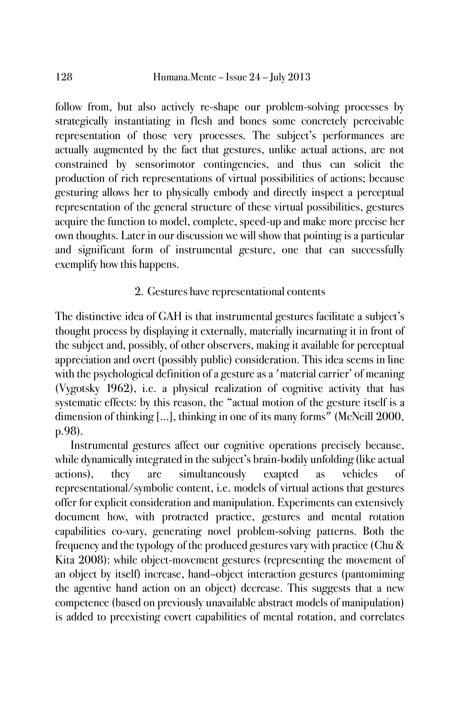follow from, but also actively re-shape our problem-solving processes by strategically instantiating in flesh and bones some concretely perceivable representation of those very processes. The subject's performances are actually augmented by the fact that gestures, unlike actual actions, are not constrained by sensorimotor contingencies, and thus can solicit the production of rich representations of virtual possibilities of actions; because gesturing allows her to physically embody and directly inspect a perceptual representation of the general structure of these virtual possibilities, gestures acquire the function to model, complete, speed-up and make more precise her own thoughts. Later in our discussion we will show that pointing is a particular and significant form of instrumental gesture, one that can successfully exemplify how this happens.

# 2. Gestures have representational contents

The distinctive idea of GAH is that instrumental gestures facilitate a subject's thought process by displaying it externally, materially incarnating it in front of the subject and, possibly, of other observers, making it available for perceptual appreciation and overt (possibly public) consideration. This idea seems in line with the psychological definition of a gesture as a 'material carrier' of meaning (Vygotsky 1962), i.e. a physical realization of cognitive activity that has systematic effects: by this reason, the "actual motion of the gesture itself is a dimension of thinking [...], thinking in one of its many forms" (McNeill 2000, p.98).

Instrumental gestures affect our cognitive operations precisely because, while dynamically integrated in the subject's brain-bodily unfolding (like actual actions), they are simultaneously exapted as vehicles of representational/symbolic content, i.e. models of virtual actions that gestures offer for explicit consideration and manipulation. Experiments can extensively document how, with protracted practice, gestures and mental rotation capabilities co-vary, generating novel problem-solving patterns. Both the frequency and the typology of the produced gestures vary with practice (Chu & Kita 2008): while object-movement gestures (representing the movement of an object by itself) increase, hand–object interaction gestures (pantomiming the agentive hand action on an object) decrease. This suggests that a new competence (based on previously unavailable abstract models of manipulation) is added to preexisting covert capabilities of mental rotation, and correlates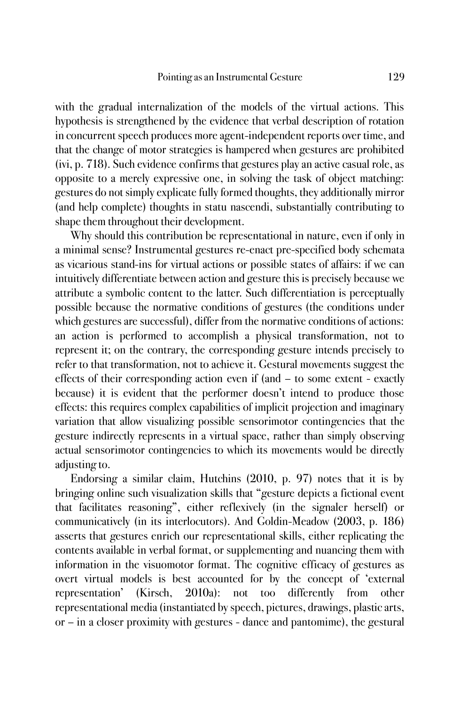with the gradual internalization of the models of the virtual actions. This hypothesis is strengthened by the evidence that verbal description of rotation in concurrent speech produces more agent-independent reports over time, and that the change of motor strategies is hampered when gestures are prohibited (ivi, p. 718). Such evidence confirms that gestures play an active casual role, as opposite to a merely expressive one, in solving the task of object matching: gestures do not simply explicate fully formed thoughts, they additionally mirror (and help complete) thoughts in statu nascendi, substantially contributing to shape them throughout their development.

Why should this contribution be representational in nature, even if only in a minimal sense? Instrumental gestures re-enact pre-specified body schemata as vicarious stand-ins for virtual actions or possible states of affairs: if we can intuitively differentiate between action and gesture this is precisely because we attribute a symbolic content to the latter. Such differentiation is perceptually possible because the normative conditions of gestures (the conditions under which gestures are successful), differ from the normative conditions of actions: an action is performed to accomplish a physical transformation, not to represent it; on the contrary, the corresponding gesture intends precisely to refer to that transformation, not to achieve it. Gestural movements suggest the effects of their corresponding action even if (and – to some extent - exactly because) it is evident that the performer doesn't intend to produce those effects: this requires complex capabilities of implicit projection and imaginary variation that allow visualizing possible sensorimotor contingencies that the gesture indirectly represents in a virtual space, rather than simply observing actual sensorimotor contingencies to which its movements would be directly adjusting to.

Endorsing a similar claim, Hutchins (2010, p. 97) notes that it is by bringing online such visualization skills that "gesture depicts a fictional event that facilitates reasoning", either reflexively (in the signaler herself) or communicatively (in its interlocutors). And Goldin-Meadow (2003, p. 186) asserts that gestures enrich our representational skills, either replicating the contents available in verbal format, or supplementing and nuancing them with information in the visuomotor format. The cognitive efficacy of gestures as overt virtual models is best accounted for by the concept of 'external representation' (Kirsch, 2010a): not too differently from other representational media (instantiated by speech, pictures, drawings, plastic arts, or – in a closer proximity with gestures - dance and pantomime), the gestural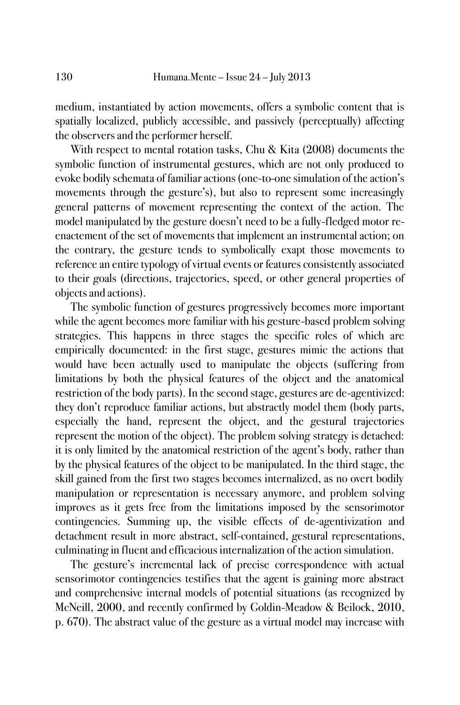medium, instantiated by action movements, offers a symbolic content that is spatially localized, publicly accessible, and passively (perceptually) affecting the observers and the performer herself.

With respect to mental rotation tasks, Chu & Kita (2008) documents the symbolic function of instrumental gestures, which are not only produced to evoke bodily schemata of familiar actions (one-to-one simulation of the action's movements through the gesture's), but also to represent some increasingly general patterns of movement representing the context of the action. The model manipulated by the gesture doesn't need to be a fully-fledged motor reenactement of the set of movements that implement an instrumental action; on the contrary, the gesture tends to symbolically exapt those movements to reference an entire typology of virtual events or features consistently associated to their goals (directions, trajectories, speed, or other general properties of objects and actions).

The symbolic function of gestures progressively becomes more important while the agent becomes more familiar with his gesture-based problem solving strategies. This happens in three stages the specific roles of which are empirically documented: in the first stage, gestures mimic the actions that would have been actually used to manipulate the objects (suffering from limitations by both the physical features of the object and the anatomical restriction of the body parts). In the second stage, gestures are de-agentivized: they don't reproduce familiar actions, but abstractly model them (body parts, especially the hand, represent the object, and the gestural trajectories represent the motion of the object). The problem solving strategy is detached: it is only limited by the anatomical restriction of the agent's body, rather than by the physical features of the object to be manipulated. In the third stage, the skill gained from the first two stages becomes internalized, as no overt bodily manipulation or representation is necessary anymore, and problem solving improves as it gets free from the limitations imposed by the sensorimotor contingencies. Summing up, the visible effects of de-agentivization and detachment result in more abstract, self-contained, gestural representations, culminating in fluent and efficacious internalization of the action simulation.

The gesture's incremental lack of precise correspondence with actual sensorimotor contingencies testifies that the agent is gaining more abstract and comprehensive internal models of potential situations (as recognized by McNeill, 2000, and recently confirmed by Goldin-Meadow & Beilock, 2010, p. 670). The abstract value of the gesture as a virtual model may increase with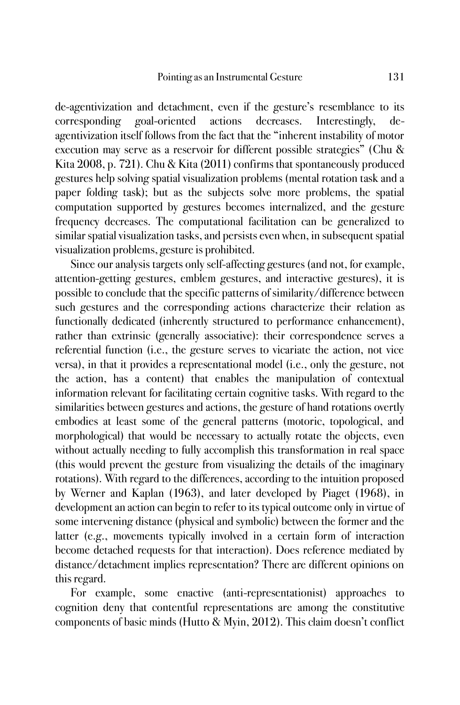de-agentivization and detachment, even if the gesture's resemblance to its corresponding goal-oriented actions decreases. Interestingly, deagentivization itself follows from the fact that the "inherent instability of motor execution may serve as a reservoir for different possible strategies" (Chu & Kita 2008, p. 721). Chu & Kita (2011) confirms that spontaneously produced gestures help solving spatial visualization problems (mental rotation task and a paper folding task); but as the subjects solve more problems, the spatial computation supported by gestures becomes internalized, and the gesture frequency decreases. The computational facilitation can be generalized to similar spatial visualization tasks, and persists even when, in subsequent spatial visualization problems, gesture is prohibited.

Since our analysis targets only self-affecting gestures (and not, for example, attention-getting gestures, emblem gestures, and interactive gestures), it is possible to conclude that the specific patterns of similarity/difference between such gestures and the corresponding actions characterize their relation as functionally dedicated (inherently structured to performance enhancement), rather than extrinsic (generally associative): their correspondence serves a referential function (i.e., the gesture serves to vicariate the action, not vice versa), in that it provides a representational model (i.e., only the gesture, not the action, has a content) that enables the manipulation of contextual information relevant for facilitating certain cognitive tasks. With regard to the similarities between gestures and actions, the gesture of hand rotations overtly embodies at least some of the general patterns (motoric, topological, and morphological) that would be necessary to actually rotate the objects, even without actually needing to fully accomplish this transformation in real space (this would prevent the gesture from visualizing the details of the imaginary rotations). With regard to the differences, according to the intuition proposed by Werner and Kaplan (1963), and later developed by Piaget (1968), in development an action can begin to refer to its typical outcome only in virtue of some intervening distance (physical and symbolic) between the former and the latter (e.g., movements typically involved in a certain form of interaction become detached requests for that interaction). Does reference mediated by distance/detachment implies representation? There are different opinions on this regard.

For example, some enactive (anti-representationist) approaches to cognition deny that contentful representations are among the constitutive components of basic minds (Hutto & Myin, 2012). This claim doesn't conflict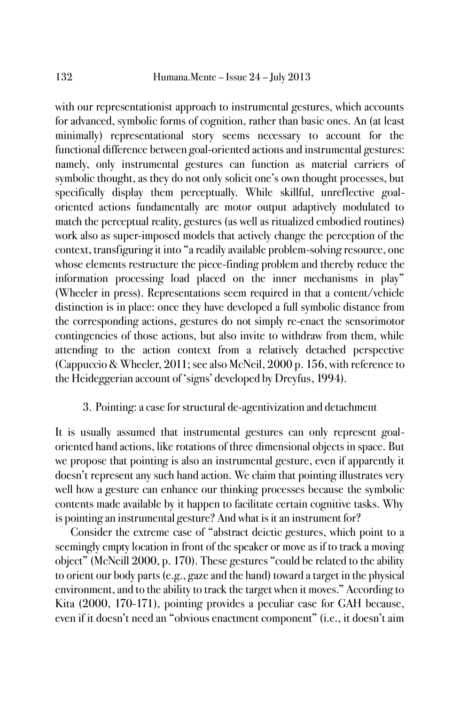with our representationist approach to instrumental gestures, which accounts for advanced, symbolic forms of cognition, rather than basic ones. An (at least minimally) representational story seems necessary to account for the functional difference between goal-oriented actions and instrumental gestures: namely, only instrumental gestures can function as material carriers of symbolic thought, as they do not only solicit one's own thought processes, but specifically display them perceptually. While skillful, unreflective goaloriented actions fundamentally are motor output adaptively modulated to match the perceptual reality, gestures (as well as ritualized embodied routines) work also as super-imposed models that actively change the perception of the context, transfiguring it into "a readily available problem-solving resource, one whose elements restructure the piece-finding problem and thereby reduce the information processing load placed on the inner mechanisms in play" (Wheeler in press). Representations seem required in that a content/vehicle distinction is in place: once they have developed a full symbolic distance from the corresponding actions, gestures do not simply re-enact the sensorimotor contingencies of those actions, but also invite to withdraw from them, while attending to the action context from a relatively detached perspective (Cappuccio & Wheeler, 2011; see also McNeil, 2000 p. 156, with reference to the Heideggerian account of 'signs' developed by Dreyfus, 1994).

## 3. Pointing: a case for structural de-agentivization and detachment

It is usually assumed that instrumental gestures can only represent goaloriented hand actions, like rotations of three dimensional objects in space. But we propose that pointing is also an instrumental gesture, even if apparently it doesn't represent any such hand action. We claim that pointing illustrates very well how a gesture can enhance our thinking processes because the symbolic contents made available by it happen to facilitate certain cognitive tasks. Why is pointing an instrumental gesture? And what is it an instrument for?

Consider the extreme case of "abstract deictic gestures, which point to a seemingly empty location in front of the speaker or move as if to track a moving object" (McNeill 2000, p. 170). These gestures "could be related to the ability to orient our body parts (e.g., gaze and the hand) toward a target in the physical environment, and to the ability to track the target when it moves." According to Kita (2000, 170-171), pointing provides a peculiar case for GAH because, even if it doesn't need an "obvious enactment component" (i.e., it doesn't aim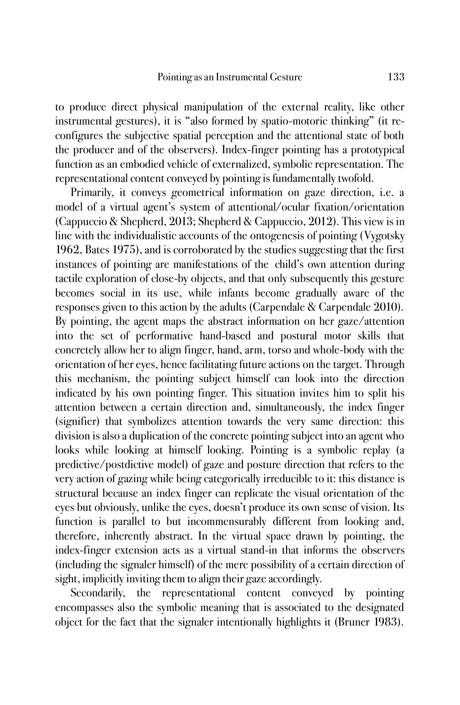to produce direct physical manipulation of the external reality, like other instrumental gestures), it is "also formed by spatio-motoric thinking" (it reconfigures the subjective spatial perception and the attentional state of both the producer and of the observers). Index-finger pointing has a prototypical function as an embodied vehicle of externalized, symbolic representation. The representational content conveyed by pointing is fundamentally twofold.

Primarily, it conveys geometrical information on gaze direction, i.e. a model of a virtual agent's system of attentional/ocular fixation/orientation (Cappuccio & Shepherd, 2013; Shepherd & Cappuccio, 2012). This view is in line with the individualistic accounts of the ontogenesis of pointing (Vygotsky 1962, Bates 1975), and is corroborated by the studies suggesting that the first instances of pointing are manifestations of the child's own attention during tactile exploration of close-by objects, and that only subsequently this gesture becomes social in its use, while infants become gradually aware of the responses given to this action by the adults (Carpendale & Carpendale 2010). By pointing, the agent maps the abstract information on her gaze/attention into the set of performative hand-based and postural motor skills that concretely allow her to align finger, hand, arm, torso and whole-body with the orientation of her eyes, hence facilitating future actions on the target. Through this mechanism, the pointing subject himself can look into the direction indicated by his own pointing finger. This situation invites him to split his attention between a certain direction and, simultaneously, the index finger (signifier) that symbolizes attention towards the very same direction: this division is also a duplication of the concrete pointing subject into an agent who looks while looking at himself looking. Pointing is a symbolic replay (a predictive/postdictive model) of gaze and posture direction that refers to the very action of gazing while being categorically irreducible to it: this distance is structural because an index finger can replicate the visual orientation of the eyes but obviously, unlike the eyes, doesn't produce its own sense of vision. Its function is parallel to but incommensurably different from looking and, therefore, inherently abstract. In the virtual space drawn by pointing, the index-finger extension acts as a virtual stand-in that informs the observers (including the signaler himself) of the mere possibility of a certain direction of sight, implicitly inviting them to align their gaze accordingly.

Secondarily, the representational content conveyed by pointing encompasses also the symbolic meaning that is associated to the designated object for the fact that the signaler intentionally highlights it (Bruner 1983).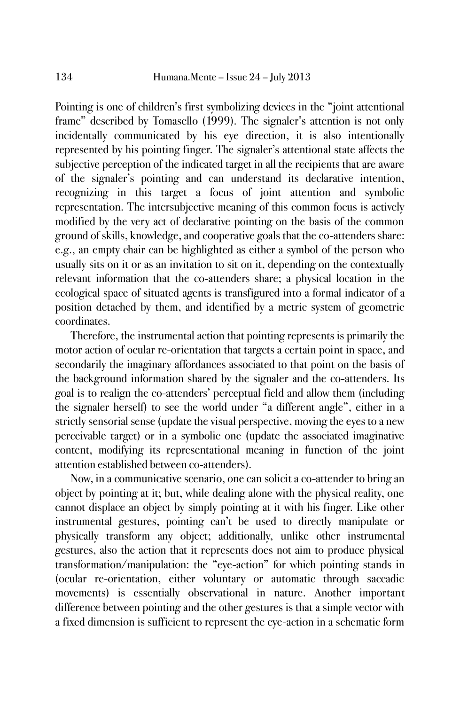Pointing is one of children's first symbolizing devices in the "joint attentional frame" described by Tomasello (1999). The signaler's attention is not only incidentally communicated by his eye direction, it is also intentionally represented by his pointing finger. The signaler's attentional state affects the subjective perception of the indicated target in all the recipients that are aware of the signaler's pointing and can understand its declarative intention, recognizing in this target a focus of joint attention and symbolic representation. The intersubjective meaning of this common focus is actively modified by the very act of declarative pointing on the basis of the common ground of skills, knowledge, and cooperative goals that the co-attenders share: e.g., an empty chair can be highlighted as either a symbol of the person who usually sits on it or as an invitation to sit on it, depending on the contextually relevant information that the co-attenders share; a physical location in the ecological space of situated agents is transfigured into a formal indicator of a position detached by them, and identified by a metric system of geometric coordinates.

Therefore, the instrumental action that pointing represents is primarily the motor action of ocular re-orientation that targets a certain point in space, and secondarily the imaginary affordances associated to that point on the basis of the background information shared by the signaler and the co-attenders. Its goal is to realign the co-attenders' perceptual field and allow them (including the signaler herself) to see the world under "a different angle", either in a strictly sensorial sense (update the visual perspective, moving the eyes to a new perceivable target) or in a symbolic one (update the associated imaginative content, modifying its representational meaning in function of the joint attention established between co-attenders).

Now, in a communicative scenario, one can solicit a co-attender to bring an object by pointing at it; but, while dealing alone with the physical reality, one cannot displace an object by simply pointing at it with his finger. Like other instrumental gestures, pointing can't be used to directly manipulate or physically transform any object; additionally, unlike other instrumental gestures, also the action that it represents does not aim to produce physical transformation/manipulation: the "eye-action" for which pointing stands in (ocular re-orientation, either voluntary or automatic through saccadic movements) is essentially observational in nature. Another important difference between pointing and the other gestures is that a simple vector with a fixed dimension is sufficient to represent the eye-action in a schematic form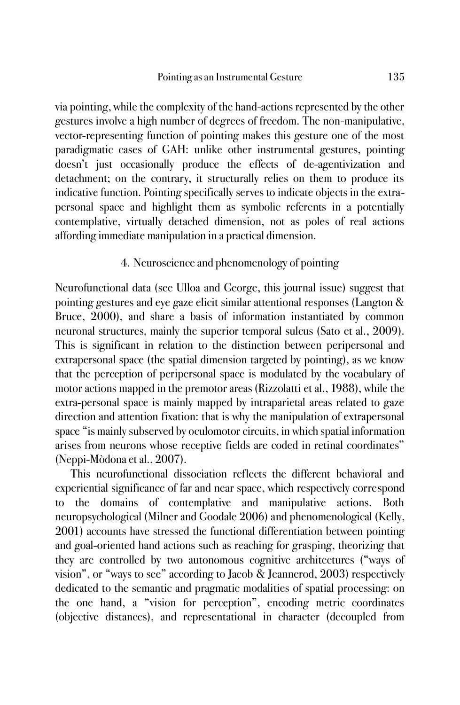via pointing, while the complexity of the hand-actions represented by the other gestures involve a high number of degrees of freedom. The non-manipulative, vector-representing function of pointing makes this gesture one of the most paradigmatic cases of GAH: unlike other instrumental gestures, pointing doesn't just occasionally produce the effects of de-agentivization and detachment; on the contrary, it structurally relies on them to produce its indicative function. Pointing specifically serves to indicate objects in the extrapersonal space and highlight them as symbolic referents in a potentially contemplative, virtually detached dimension, not as poles of real actions affording immediate manipulation in a practical dimension.

## 4. Neuroscience and phenomenology of pointing

Neurofunctional data (see Ulloa and George, this journal issue) suggest that pointing gestures and eye gaze elicit similar attentional responses (Langton & Bruce, 2000), and share a basis of information instantiated by common neuronal structures, mainly the superior temporal sulcus (Sato et al., 2009). This is significant in relation to the distinction between peripersonal and extrapersonal space (the spatial dimension targeted by pointing), as we know that the perception of peripersonal space is modulated by the vocabulary of motor actions mapped in the premotor areas (Rizzolatti et al., 1988), while the extra-personal space is mainly mapped by intraparietal areas related to gaze direction and attention fixation: that is why the manipulation of extrapersonal space "is mainly subserved by oculomotor circuits, in which spatial information arises from neurons whose receptive fields are coded in retinal coordinates" (Neppi-Mòdona et al., 2007).

This neurofunctional dissociation reflects the different behavioral and experiential significance of far and near space, which respectively correspond to the domains of contemplative and manipulative actions. Both neuropsychological (Milner and Goodale 2006) and phenomenological (Kelly, 2001) accounts have stressed the functional differentiation between pointing and goal-oriented hand actions such as reaching for grasping, theorizing that they are controlled by two autonomous cognitive architectures ("ways of vision", or "ways to see" according to Jacob & Jeannerod, 2003) respectively dedicated to the semantic and pragmatic modalities of spatial processing: on the one hand, a "vision for perception", encoding metric coordinates (objective distances), and representational in character (decoupled from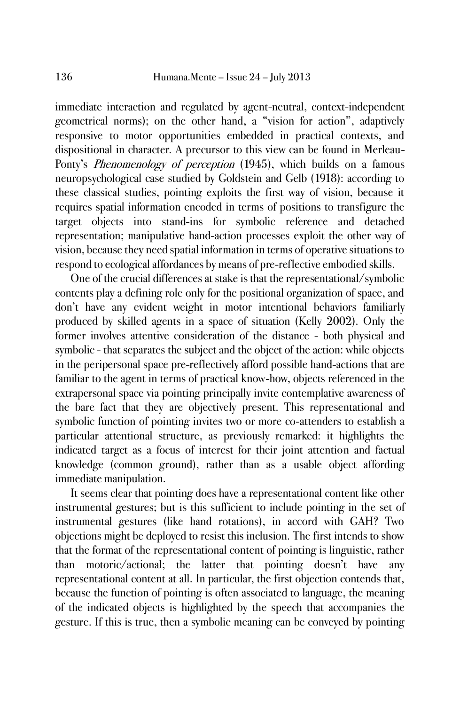immediate interaction and regulated by agent-neutral, context-independent geometrical norms); on the other hand, a "vision for action", adaptively responsive to motor opportunities embedded in practical contexts, and dispositional in character. A precursor to this view can be found in Merleau-Ponty's Phenomenology of perception (1945), which builds on a famous neuropsychological case studied by Goldstein and Gelb (1918): according to these classical studies, pointing exploits the first way of vision, because it requires spatial information encoded in terms of positions to transfigure the target objects into stand-ins for symbolic reference and detached representation; manipulative hand-action processes exploit the other way of vision, because they need spatial information in terms of operative situations to respond to ecological affordances by means of pre-reflective embodied skills.

One of the crucial differences at stake is that the representational/symbolic contents play a defining role only for the positional organization of space, and don't have any evident weight in motor intentional behaviors familiarly produced by skilled agents in a space of situation (Kelly 2002). Only the former involves attentive consideration of the distance - both physical and symbolic - that separates the subject and the object of the action: while objects in the peripersonal space pre-reflectively afford possible hand-actions that are familiar to the agent in terms of practical know-how, objects referenced in the extrapersonal space via pointing principally invite contemplative awareness of the bare fact that they are objectively present. This representational and symbolic function of pointing invites two or more co-attenders to establish a particular attentional structure, as previously remarked: it highlights the indicated target as a focus of interest for their joint attention and factual knowledge (common ground), rather than as a usable object affording immediate manipulation.

It seems clear that pointing does have a representational content like other instrumental gestures; but is this sufficient to include pointing in the set of instrumental gestures (like hand rotations), in accord with GAH? Two objections might be deployed to resist this inclusion. The first intends to show that the format of the representational content of pointing is linguistic, rather than motoric/actional; the latter that pointing doesn't have any representational content at all. In particular, the first objection contends that, because the function of pointing is often associated to language, the meaning of the indicated objects is highlighted by the speech that accompanies the gesture. If this is true, then a symbolic meaning can be conveyed by pointing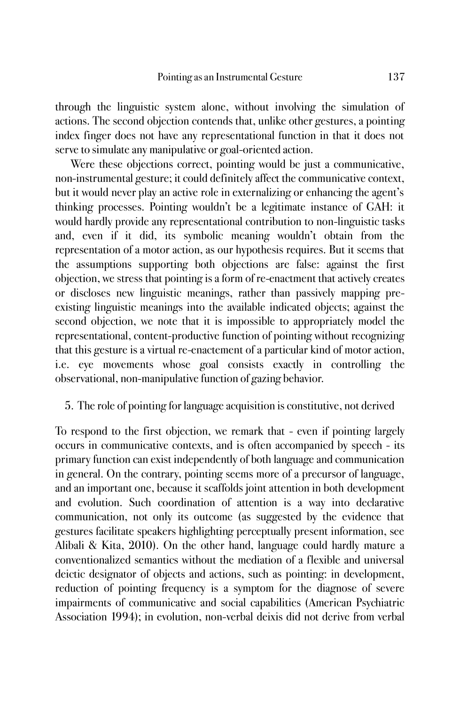through the linguistic system alone, without involving the simulation of actions. The second objection contends that, unlike other gestures, a pointing index finger does not have any representational function in that it does not serve to simulate any manipulative or goal-oriented action.

Were these objections correct, pointing would be just a communicative, non-instrumental gesture; it could definitely affect the communicative context, but it would never play an active role in externalizing or enhancing the agent's thinking processes. Pointing wouldn't be a legitimate instance of GAH: it would hardly provide any representational contribution to non-linguistic tasks and, even if it did, its symbolic meaning wouldn't obtain from the representation of a motor action, as our hypothesis requires. But it seems that the assumptions supporting both objections are false: against the first objection, we stress that pointing is a form of re-enactment that actively creates or discloses new linguistic meanings, rather than passively mapping preexisting linguistic meanings into the available indicated objects; against the second objection, we note that it is impossible to appropriately model the representational, content-productive function of pointing without recognizing that this gesture is a virtual re-enactement of a particular kind of motor action, i.e. eye movements whose goal consists exactly in controlling the observational, non-manipulative function of gazing behavior.

## 5. The role of pointing for language acquisition is constitutive, not derived

To respond to the first objection, we remark that - even if pointing largely occurs in communicative contexts, and is often accompanied by speech - its primary function can exist independently of both language and communication in general. On the contrary, pointing seems more of a precursor of language, and an important one, because it scaffolds joint attention in both development and evolution. Such coordination of attention is a way into declarative communication, not only its outcome (as suggested by the evidence that gestures facilitate speakers highlighting perceptually present information, see Alibali & Kita, 2010). On the other hand, language could hardly mature a conventionalized semantics without the mediation of a flexible and universal deictic designator of objects and actions, such as pointing: in development, reduction of pointing frequency is a symptom for the diagnose of severe impairments of communicative and social capabilities (American Psychiatric Association 1994); in evolution, non-verbal deixis did not derive from verbal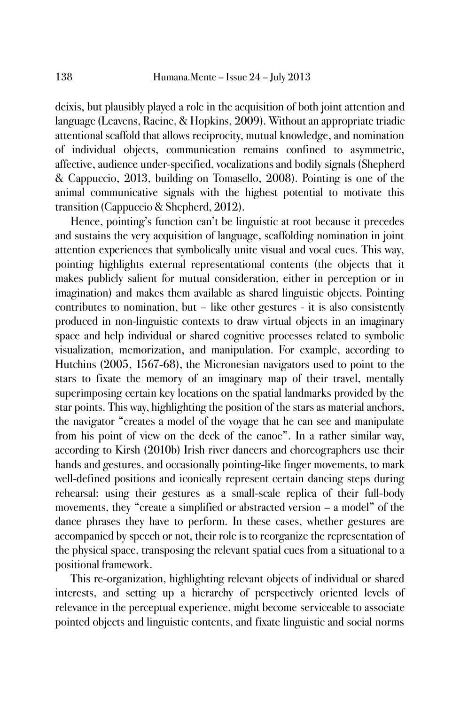deixis, but plausibly played a role in the acquisition of both joint attention and language (Leavens, Racine, & Hopkins, 2009). Without an appropriate triadic attentional scaffold that allows reciprocity, mutual knowledge, and nomination of individual objects, communication remains confined to asymmetric, affective, audience under-specified, vocalizations and bodily signals (Shepherd & Cappuccio, 2013, building on Tomasello, 2008). Pointing is one of the animal communicative signals with the highest potential to motivate this transition (Cappuccio & Shepherd, 2012).

Hence, pointing's function can't be linguistic at root because it precedes and sustains the very acquisition of language, scaffolding nomination in joint attention experiences that symbolically unite visual and vocal cues. This way, pointing highlights external representational contents (the objects that it makes publicly salient for mutual consideration, either in perception or in imagination) and makes them available as shared linguistic objects. Pointing contributes to nomination, but – like other gestures - it is also consistently produced in non-linguistic contexts to draw virtual objects in an imaginary space and help individual or shared cognitive processes related to symbolic visualization, memorization, and manipulation. For example, according to Hutchins (2005, 1567-68), the Micronesian navigators used to point to the stars to fixate the memory of an imaginary map of their travel, mentally superimposing certain key locations on the spatial landmarks provided by the star points. This way, highlighting the position of the stars as material anchors, the navigator "creates a model of the voyage that he can see and manipulate from his point of view on the deck of the canoe". In a rather similar way, according to Kirsh (2010b) Irish river dancers and choreographers use their hands and gestures, and occasionally pointing-like finger movements, to mark well-defined positions and iconically represent certain dancing steps during rehearsal: using their gestures as a small-scale replica of their full-body movements, they "create a simplified or abstracted version – a model" of the dance phrases they have to perform. In these cases, whether gestures are accompanied by speech or not, their role is to reorganize the representation of the physical space, transposing the relevant spatial cues from a situational to a positional framework.

This re-organization, highlighting relevant objects of individual or shared interests, and setting up a hierarchy of perspectively oriented levels of relevance in the perceptual experience, might become serviceable to associate pointed objects and linguistic contents, and fixate linguistic and social norms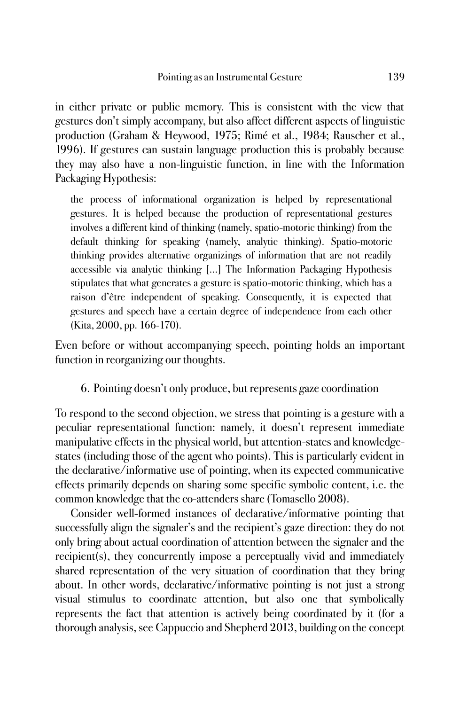in either private or public memory. This is consistent with the view that gestures don't simply accompany, but also affect different aspects of linguistic production (Graham & Heywood, 1975; Rimé et al., 1984; Rauscher et al., 1996). If gestures can sustain language production this is probably because they may also have a non-linguistic function, in line with the Information Packaging Hypothesis:

the process of informational organization is helped by representational gestures. It is helped because the production of representational gestures involves a different kind of thinking (namely, spatio-motoric thinking) from the default thinking for speaking (namely, analytic thinking). Spatio-motoric thinking provides alternative organizings of information that are not readily accessible via analytic thinking […] The Information Packaging Hypothesis stipulates that what generates a gesture is spatio-motoric thinking, which has a raison d'être independent of speaking. Consequently, it is expected that gestures and speech have a certain degree of independence from each other (Kita, 2000, pp. 166-170).

Even before or without accompanying speech, pointing holds an important function in reorganizing our thoughts.

6. Pointing doesn't only produce, but represents gaze coordination

To respond to the second objection, we stress that pointing is a gesture with a peculiar representational function: namely, it doesn't represent immediate manipulative effects in the physical world, but attention-states and knowledgestates (including those of the agent who points). This is particularly evident in the declarative/informative use of pointing, when its expected communicative effects primarily depends on sharing some specific symbolic content, i.e. the common knowledge that the co-attenders share (Tomasello 2008).

Consider well-formed instances of declarative/informative pointing that successfully align the signaler's and the recipient's gaze direction: they do not only bring about actual coordination of attention between the signaler and the recipient(s), they concurrently impose a perceptually vivid and immediately shared representation of the very situation of coordination that they bring about. In other words, declarative/informative pointing is not just a strong visual stimulus to coordinate attention, but also one that symbolically represents the fact that attention is actively being coordinated by it (for a thorough analysis, see Cappuccio and Shepherd 2013, building on the concept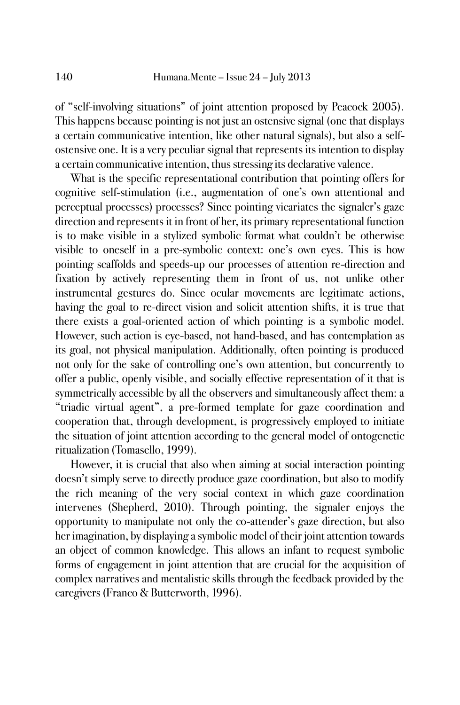of "self-involving situations" of joint attention proposed by Peacock 2005). This happens because pointing is not just an ostensive signal (one that displays a certain communicative intention, like other natural signals), but also a selfostensive one. It is a very peculiar signal that represents its intention to display a certain communicative intention, thus stressing its declarative valence.

What is the specific representational contribution that pointing offers for cognitive self-stimulation (i.e., augmentation of one's own attentional and perceptual processes) processes? Since pointing vicariates the signaler's gaze direction and represents it in front of her, its primary representational function is to make visible in a stylized symbolic format what couldn't be otherwise visible to oneself in a pre-symbolic context: one's own eyes. This is how pointing scaffolds and speeds-up our processes of attention re-direction and fixation by actively representing them in front of us, not unlike other instrumental gestures do. Since ocular movements are legitimate actions, having the goal to re-direct vision and solicit attention shifts, it is true that there exists a goal-oriented action of which pointing is a symbolic model. However, such action is eye-based, not hand-based, and has contemplation as its goal, not physical manipulation. Additionally, often pointing is produced not only for the sake of controlling one's own attention, but concurrently to offer a public, openly visible, and socially effective representation of it that is symmetrically accessible by all the observers and simultaneously affect them: a "triadic virtual agent", a pre-formed template for gaze coordination and cooperation that, through development, is progressively employed to initiate the situation of joint attention according to the general model of ontogenetic ritualization (Tomasello, 1999).

However, it is crucial that also when aiming at social interaction pointing doesn't simply serve to directly produce gaze coordination, but also to modify the rich meaning of the very social context in which gaze coordination intervenes (Shepherd, 2010). Through pointing, the signaler enjoys the opportunity to manipulate not only the co-attender's gaze direction, but also her imagination, by displaying a symbolic model of their joint attention towards an object of common knowledge. This allows an infant to request symbolic forms of engagement in joint attention that are crucial for the acquisition of complex narratives and mentalistic skills through the feedback provided by the caregivers (Franco & Butterworth, 1996).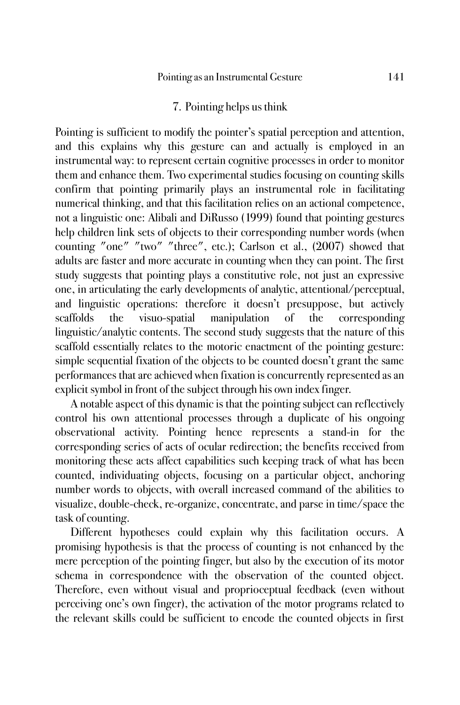### 7. Pointing helps us think

Pointing is sufficient to modify the pointer's spatial perception and attention, and this explains why this gesture can and actually is employed in an instrumental way: to represent certain cognitive processes in order to monitor them and enhance them. Two experimental studies focusing on counting skills confirm that pointing primarily plays an instrumental role in facilitating numerical thinking, and that this facilitation relies on an actional competence, not a linguistic one: Alibali and DiRusso (1999) found that pointing gestures help children link sets of objects to their corresponding number words (when counting "one" "two" "three", etc.); Carlson et al., (2007) showed that adults are faster and more accurate in counting when they can point. The first study suggests that pointing plays a constitutive role, not just an expressive one, in articulating the early developments of analytic, attentional/perceptual, and linguistic operations: therefore it doesn't presuppose, but actively scaffolds the visuo-spatial manipulation of the corresponding linguistic/analytic contents. The second study suggests that the nature of this scaffold essentially relates to the motoric enactment of the pointing gesture: simple sequential fixation of the objects to be counted doesn't grant the same performances that are achieved when fixation is concurrently represented as an explicit symbol in front of the subject through his own index finger.

A notable aspect of this dynamic is that the pointing subject can reflectively control his own attentional processes through a duplicate of his ongoing observational activity. Pointing hence represents a stand-in for the corresponding series of acts of ocular redirection; the benefits received from monitoring these acts affect capabilities such keeping track of what has been counted, individuating objects, focusing on a particular object, anchoring number words to objects, with overall increased command of the abilities to visualize, double-check, re-organize, concentrate, and parse in time/space the task of counting.

Different hypotheses could explain why this facilitation occurs. A promising hypothesis is that the process of counting is not enhanced by the mere perception of the pointing finger, but also by the execution of its motor schema in correspondence with the observation of the counted object. Therefore, even without visual and proprioceptual feedback (even without perceiving one's own finger), the activation of the motor programs related to the relevant skills could be sufficient to encode the counted objects in first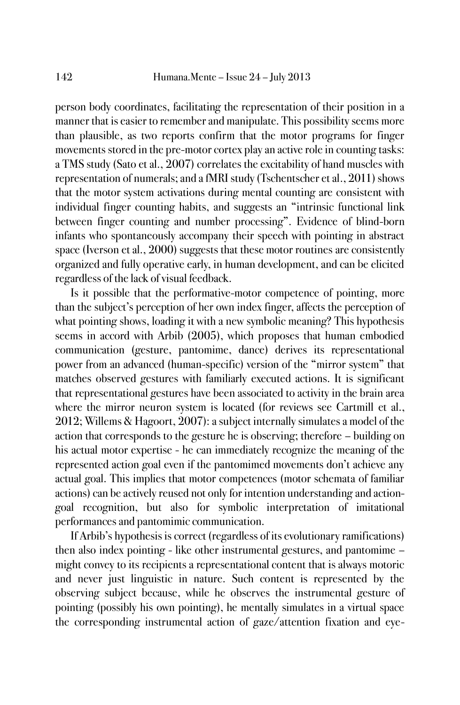person body coordinates, facilitating the representation of their position in a manner that is easier to remember and manipulate. This possibility seems more than plausible, as two reports confirm that the motor programs for finger movements stored in the pre-motor cortex play an active role in counting tasks: a TMS study (Sato et al., 2007) correlates the excitability of hand muscles with representation of numerals; and a fMRI study (Tschentscher et al., 2011) shows that the motor system activations during mental counting are consistent with individual finger counting habits, and suggests an "intrinsic functional link between finger counting and number processing". Evidence of blind-born infants who spontaneously accompany their speech with pointing in abstract space (Iverson et al., 2000) suggests that these motor routines are consistently organized and fully operative early, in human development, and can be elicited regardless of the lack of visual feedback.

Is it possible that the performative-motor competence of pointing, more than the subject's perception of her own index finger, affects the perception of what pointing shows, loading it with a new symbolic meaning? This hypothesis seems in accord with Arbib (2005), which proposes that human embodied communication (gesture, pantomime, dance) derives its representational power from an advanced (human-specific) version of the "mirror system" that matches observed gestures with familiarly executed actions. It is significant that representational gestures have been associated to activity in the brain area where the mirror neuron system is located (for reviews see Cartmill et al., 2012; Willems & Hagoort, 2007): a subject internally simulates a model of the action that corresponds to the gesture he is observing; therefore – building on his actual motor expertise - he can immediately recognize the meaning of the represented action goal even if the pantomimed movements don't achieve any actual goal. This implies that motor competences (motor schemata of familiar actions) can be actively reused not only for intention understanding and actiongoal recognition, but also for symbolic interpretation of imitational performances and pantomimic communication.

If Arbib's hypothesis is correct (regardless of its evolutionary ramifications) then also index pointing - like other instrumental gestures, and pantomime – might convey to its recipients a representational content that is always motoric and never just linguistic in nature. Such content is represented by the observing subject because, while he observes the instrumental gesture of pointing (possibly his own pointing), he mentally simulates in a virtual space the corresponding instrumental action of gaze/attention fixation and eye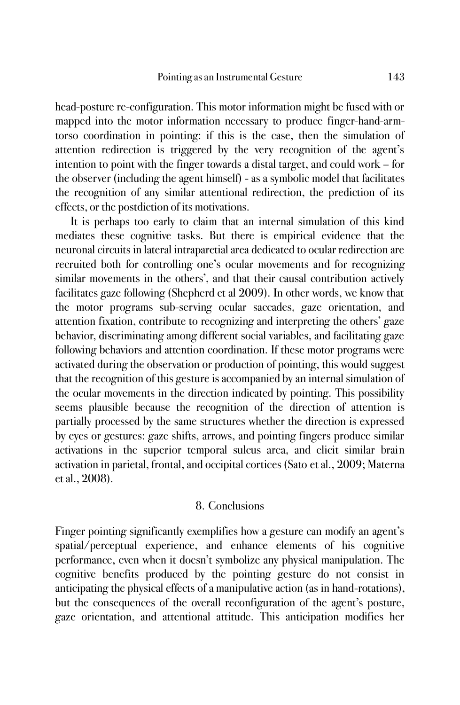head-posture re-configuration. This motor information might be fused with or mapped into the motor information necessary to produce finger-hand-armtorso coordination in pointing: if this is the case, then the simulation of attention redirection is triggered by the very recognition of the agent's intention to point with the finger towards a distal target, and could work – for the observer (including the agent himself) - as a symbolic model that facilitates the recognition of any similar attentional redirection, the prediction of its effects, or the postdiction of its motivations.

It is perhaps too early to claim that an internal simulation of this kind mediates these cognitive tasks. But there is empirical evidence that the neuronal circuits in lateral intraparetial area dedicated to ocular redirection are recruited both for controlling one's ocular movements and for recognizing similar movements in the others', and that their causal contribution actively facilitates gaze following (Shepherd et al 2009). In other words, we know that the motor programs sub-serving ocular saccades, gaze orientation, and attention fixation, contribute to recognizing and interpreting the others' gaze behavior, discriminating among different social variables, and facilitating gaze following behaviors and attention coordination. If these motor programs were activated during the observation or production of pointing, this would suggest that the recognition of this gesture is accompanied by an internal simulation of the ocular movements in the direction indicated by pointing. This possibility seems plausible because the recognition of the direction of attention is partially processed by the same structures whether the direction is expressed by eyes or gestures: gaze shifts, arrows, and pointing fingers produce similar activations in the superior temporal sulcus area, and elicit similar brain activation in parietal, frontal, and occipital cortices (Sato et al., 2009; Materna et al., 2008).

#### 8. Conclusions

Finger pointing significantly exemplifies how a gesture can modify an agent's spatial/perceptual experience, and enhance elements of his cognitive performance, even when it doesn't symbolize any physical manipulation. The cognitive benefits produced by the pointing gesture do not consist in anticipating the physical effects of a manipulative action (as in hand-rotations), but the consequences of the overall reconfiguration of the agent's posture, gaze orientation, and attentional attitude. This anticipation modifies her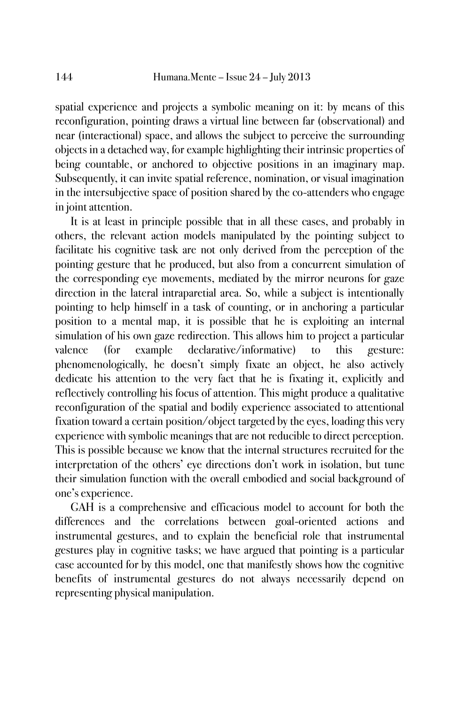spatial experience and projects a symbolic meaning on it: by means of this reconfiguration, pointing draws a virtual line between far (observational) and near (interactional) space, and allows the subject to perceive the surrounding objects in a detached way, for example highlighting their intrinsic properties of being countable, or anchored to objective positions in an imaginary map. Subsequently, it can invite spatial reference, nomination, or visual imagination in the intersubjective space of position shared by the co-attenders who engage in joint attention.

It is at least in principle possible that in all these cases, and probably in others, the relevant action models manipulated by the pointing subject to facilitate his cognitive task are not only derived from the perception of the pointing gesture that he produced, but also from a concurrent simulation of the corresponding eye movements, mediated by the mirror neurons for gaze direction in the lateral intraparetial area. So, while a subject is intentionally pointing to help himself in a task of counting, or in anchoring a particular position to a mental map, it is possible that he is exploiting an internal simulation of his own gaze redirection. This allows him to project a particular valence (for example declarative/informative) to this gesture: phenomenologically, he doesn't simply fixate an object, he also actively dedicate his attention to the very fact that he is fixating it, explicitly and reflectively controlling his focus of attention. This might produce a qualitative reconfiguration of the spatial and bodily experience associated to attentional fixation toward a certain position/object targeted by the eyes, loading this very experience with symbolic meanings that are not reducible to direct perception. This is possible because we know that the internal structures recruited for the interpretation of the others' eye directions don't work in isolation, but tune their simulation function with the overall embodied and social background of one's experience.

GAH is a comprehensive and efficacious model to account for both the differences and the correlations between goal-oriented actions and instrumental gestures, and to explain the beneficial role that instrumental gestures play in cognitive tasks; we have argued that pointing is a particular case accounted for by this model, one that manifestly shows how the cognitive benefits of instrumental gestures do not always necessarily depend on representing physical manipulation.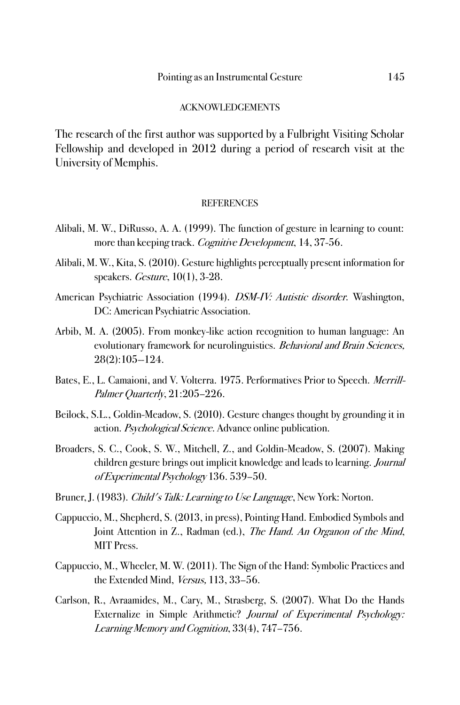#### ACKNOWLEDGEMENTS

The research of the first author was supported by a Fulbright Visiting Scholar Fellowship and developed in 2012 during a period of research visit at the University of Memphis.

#### **REFERENCES**

- Alibali, M. W., DiRusso, A. A. (1999). The function of gesture in learning to count: more than keeping track. Cognitive Development, 14, 37-56.
- Alibali, M. W., Kita, S. (2010). Gesture highlights perceptually present information for speakers. Gesture, 10(1), 3-28.
- American Psychiatric Association (1994). *DSM-IV: Autistic disorder*. Washington, DC: American Psychiatric Association.
- Arbib, M. A. (2005). From monkey-like action recognition to human language: An evolutionary framework for neurolinguistics. Behavioral and Brain Sciences, 28(2):105--124.
- Bates, E., L. Camaioni, and V. Volterra. 1975. Performatives Prior to Speech. *Merrill*-Palmer Quarterly, 21:205–226.
- Beilock, S.L., Goldin-Meadow, S. (2010). Gesture changes thought by grounding it in action. Psychological Science. Advance online publication.
- Broaders, S. C., Cook, S. W., Mitchell, Z., and Goldin-Meadow, S. (2007). Making children gesture brings out implicit knowledge and leads to learning. Journal of Experimental Psychology 136. 539–50.
- Bruner, J. (1983). *Child's Talk: Learning to Use Language*, New York: Norton.
- Cappuccio, M., Shepherd, S. (2013, in press), Pointing Hand. Embodied Symbols and Joint Attention in Z., Radman (ed.), The Hand. An Organon of the Mind, MIT Press.
- Cappuccio, M., Wheeler, M. W. (2011). The Sign of the Hand: Symbolic Practices and the Extended Mind, Versus, 113, 33–56.
- Carlson, R., Avraamides, M., Cary, M., Strasberg, S. (2007). What Do the Hands Externalize in Simple Arithmetic? Journal of Experimental Psychology: Learning Memory and Cognition, 33(4), 747–756.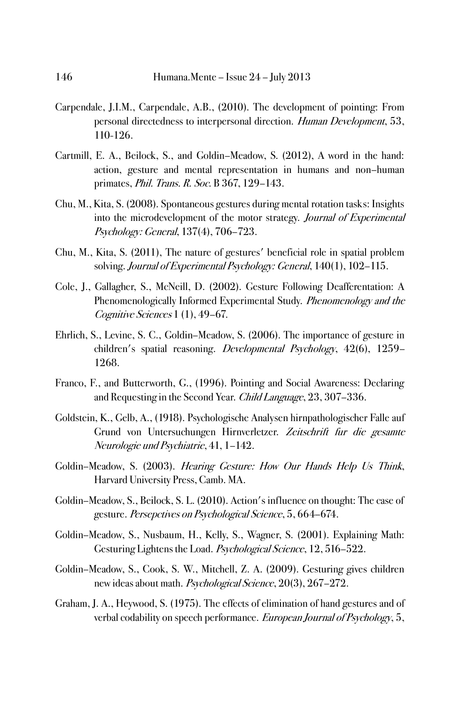- Carpendale, J.I.M., Carpendale, A.B., (2010). The development of pointing: From personal directedness to interpersonal direction. Human Development, 53, 110-126.
- Cartmill, E. A., Beilock, S., and Goldin–Meadow, S. (2012), A word in the hand: action, gesture and mental representation in humans and non–human primates, Phil. Trans. R. Soc. B 367, 129–143.
- Chu, M., Kita, S. (2008). Spontaneous gestures during mental rotation tasks: Insights into the microdevelopment of the motor strategy. Journal of Experimental Psychology: General, 137(4), 706–723.
- Chu, M., Kita, S. (2011), The nature of gestures' beneficial role in spatial problem solving. Journal of Experimental Psychology: General, 140(1), 102–115.
- Cole, J., Gallagher, S., McNeill, D. (2002). Gesture Following Deafferentation: A Phenomenologically Informed Experimental Study. Phenomenology and the Cognitive Sciences 1 (1), 49–67.
- Ehrlich, S., Levine, S. C., Goldin–Meadow, S. (2006). The importance of gesture in children's spatial reasoning. Developmental Psychology, 42(6), 1259– 1268.
- Franco, F., and Butterworth, G., (1996). Pointing and Social Awareness: Declaring and Requesting in the Second Year. Child Language, 23, 307–336.
- Goldstein, K., Gelb, A., (1918). Psychologische Analysen hirnpathologischer Falle auf Grund von Untersuchungen Hirnverletzer. Zeitschrift fur die gesamte Neurologie und Psychiatrie, 41, 1–142.
- Goldin–Meadow, S. (2003). Hearing Gesture: How Our Hands Help Us Think, Harvard University Press, Camb. MA.
- Goldin–Meadow, S., Beilock, S. L. (2010). Action's influence on thought: The case of gesture. Persepctives on Psychological Science, 5, 664–674.
- Goldin–Meadow, S., Nusbaum, H., Kelly, S., Wagner, S. (2001). Explaining Math: Gesturing Lightens the Load. Psychological Science, 12, 516–522.
- Goldin–Meadow, S., Cook, S. W., Mitchell, Z. A. (2009). Gesturing gives children new ideas about math. Psychological Science, 20(3), 267–272.
- Graham, J. A., Heywood, S. (1975). The effects of elimination of hand gestures and of verbal codability on speech performance. European Journal of Psychology, 5,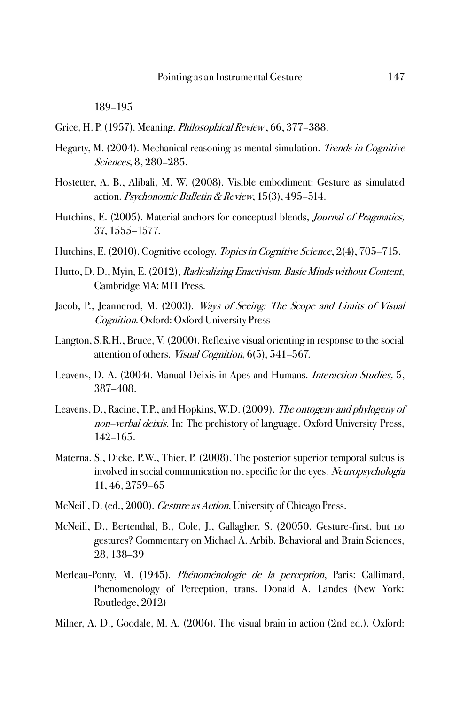189–195

Grice, H. P. (1957). Meaning. Philosophical Review , 66, 377–388.

- Hegarty, M. (2004). Mechanical reasoning as mental simulation. *Trends in Cognitive* Sciences, 8, 280–285.
- Hostetter, A. B., Alibali, M. W. (2008). Visible embodiment: Gesture as simulated action. Psychonomic Bulletin & Review, 15(3), 495–514.
- Hutchins, E. (2005). Material anchors for conceptual blends, *Journal of Pragmatics*, 37, 1555–1577.
- [Hutchins, E.](http://groups.lis.illinois.edu/amag/langev/author/ehutchins.html) (2010). Cognitive ecology. *[Topics in Cognitive Science](http://groups.lis.illinois.edu/amag/langev/pubtype/article_TopicsinCognitiveScience.html)*, 2(4), 705–715.
- Hutto, D. D., [Myin,](http://mitpress.mit.edu/authors/erik-myin) E. (2012), Radicalizing Enactivism. Basic Minds without Content, Cambridge MA: MIT Press.
- Jacob, P., Jeannerod, M. (2003). Ways of Seeing: The Scope and Limits of Visual Cognition. Oxford: Oxford University Press
- Langton, S.R.H., Bruce, V. (2000). Reflexive visual orienting in response to the social attention of others. Visual Cognition, 6(5), 541–567.
- Leavens, D. A. (2004). Manual Deixis in Apes and Humans. Interaction Studies, 5, 387–408.
- Leavens, D., Racine, T.P., and Hopkins, W.D. (2009). The ontogeny and phylogeny of non-[verbal deixis.](http://sro.sussex.ac.uk/14832/) In: The prehistory of language. Oxford University Press, 142–165.
- Materna, S., Dicke, P.W., Thier, P. (2008), The posterior superior temporal sulcus is involved in social communication not specific for the eyes. Neuropsychologia 11, 46, 2759–65
- McNeill, D. (ed., 2000). *Gesture as Action*, University of Chicago Press.
- McNeill, D., Bertenthal, B., Cole, J., Gallagher, S. (20050. Gesture-first, but no gestures? Commentary on Michael A. Arbib. Behavioral and Brain Sciences, 28, 138–39
- Merleau-Ponty, M. (1945). Phénoménologie de la perception, Paris: Gallimard, [Phenomenology of Perception,](http://en.wikipedia.org/wiki/Phenomenology_of_Perception) trans. Donald A. Landes (New York: Routledge, 2012)
- Milner, A. D., Goodale, M. A. (2006). The visual brain in action (2nd ed.). Oxford: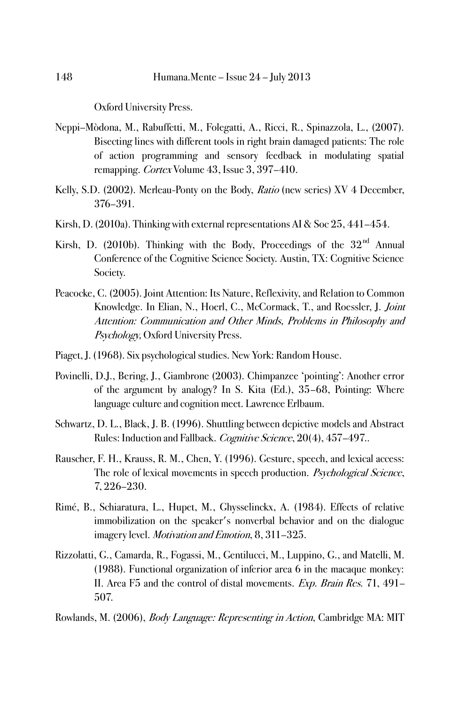Oxford University Press.

- Neppi–Mòdona, M., Rabuffetti, M., Folegatti, A., Ricci, R., Spinazzola, L., (2007). Bisecting lines with different tools in right brain damaged patients: The role of action programming and sensory feedback in modulating spatial remapping. Cortex [Volume 43, Issue 3,](http://www.cortexjournal.net/issues?issue_key=S0010-9452(08)X7026-1) 397–410.
- Kelly, S.D. (2002). Merleau-Ponty on the Body, Ratio (new series) XV 4 December, 376–391.
- Kirsh, D. (2010a). Thinking with external representations AI & Soc 25, 441–454.
- Kirsh, D. (2010b). Thinking with the Body, Proceedings of the  $32<sup>nd</sup>$  Annual Conference of the Cognitive Science Society. Austin, TX: Cognitive Science Society.
- Peacocke, C. (2005). Joint Attention: Its Nature, Reflexivity, and Relation to Common Knowledge. In Elian, N., Hoerl, C., McCormack, T., and Roessler, J. Joint Attention: Communication and Other Minds, Problems in Philosophy and Psychology, Oxford University Press.
- Piaget, J. (1968). Six psychological studies. New York: Random House.
- Povinelli, D.J., Bering, J., Giambrone (2003). Chimpanzee 'pointing': Another error of the argument by analogy? In S. Kita (Ed.), 35–68, Pointing: Where language culture and cognition meet. Lawrence Erlbaum.
- Schwartz, D. L., Black, J. B. (1996). Shuttling between depictive models and Abstract Rules: Induction and Fallback. Cognitive Science, 20(4), 457–497..
- Rauscher, F. H., Krauss, R. M., Chen, Y. (1996). Gesture, speech, and lexical access: The role of lexical movements in speech production. Psychological Science, 7, 226–230.
- Rimé, B., Schiaratura, L., Hupet, M., Ghysselinckx, A. (1984). Effects of relative immobilization on the speaker's nonverbal behavior and on the dialogue imagery level. Motivation and Emotion, 8, 311–325.
- Rizzolatti, G., Camarda, R., Fogassi, M., Gentilucci, M., Luppino, G., and Matelli, M. (1988). Functional organization of inferior area 6 in the macaque monkey: II. Area F5 and the control of distal movements. Exp. Brain Res. 71, 491– 507.
- Rowlands, M. (2006), Body Language: Representing in Action, Cambridge MA: MIT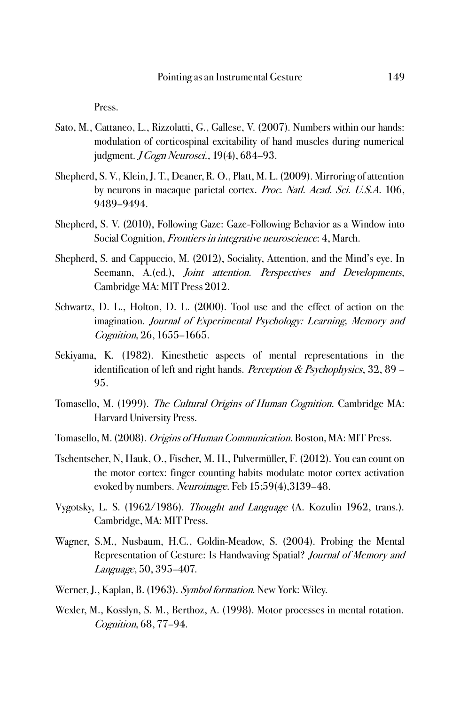Press.

- [Sato, M.,](http://www.ncbi.nlm.nih.gov/pubmed?term=Sato%20M%5BAuthor%5D&cauthor=true&cauthor_uid=17381258) [Cattaneo, L.,](http://www.ncbi.nlm.nih.gov/pubmed?term=Cattaneo%20L%5BAuthor%5D&cauthor=true&cauthor_uid=17381258) [Rizzolatti, G.,](http://www.ncbi.nlm.nih.gov/pubmed?term=Rizzolatti%20G%5BAuthor%5D&cauthor=true&cauthor_uid=17381258) [Gallese, V.](http://www.ncbi.nlm.nih.gov/pubmed?term=Gallese%20V%5BAuthor%5D&cauthor=true&cauthor_uid=17381258) (2007). Numbers within our hands: modulation of corticospinal excitability of hand muscles during numerical judgment. *J Cogn Neurosci.*, 19(4), 684–93.
- Shepherd, S. V., Klein, J. T., Deaner, R. O., Platt, M. L. (2009). Mirroring of attention by neurons in macaque parietal cortex. Proc. Natl. Acad. Sci. U.S.A. 106, 9489–9494.
- Shepherd, S. V. (2010), Following Gaze: Gaze-Following Behavior as a Window into Social Cognition, Frontiers in integrative neuroscience: 4, March.
- Shepherd, S. and Cappuccio, M. (2012), Sociality, Attention, and the Mind's eye. In Seemann, A.(ed.), *Joint attention. Perspectives and Developments*, Cambridge MA: MIT Press 2012.
- Schwartz, D. L., Holton, D. L. (2000). Tool use and the effect of action on the imagination. Journal of Experimental Psychology: Learning, Memory and Cognition, 26, 1655–1665.
- Sekiyama, K. (1982). Kinesthetic aspects of mental representations in the identification of left and right hands. *Perception & Psychophysics*,  $32, 89$  – 95.
- Tomasello, M. (1999). The Cultural Origins of Human Cognition. Cambridge MA: Harvard University Press.
- Tomasello, M. (2008). *Origins of Human Communication*. Boston, MA: MIT Press.
- [Tschentscher, N,](http://www.ncbi.nlm.nih.gov/pubmed?term=Tschentscher%20N%5BAuthor%5D&cauthor=true&cauthor_uid=22133748) [Hauk, O.](http://www.ncbi.nlm.nih.gov/pubmed?term=Hauk%20O%5BAuthor%5D&cauthor=true&cauthor_uid=22133748)[, Fischer, M. H.,](http://www.ncbi.nlm.nih.gov/pubmed?term=Fischer%20MH%5BAuthor%5D&cauthor=true&cauthor_uid=22133748) [Pulvermüller, F.](http://www.ncbi.nlm.nih.gov/pubmed?term=Pulverm%C3%BCller%20F%5BAuthor%5D&cauthor=true&cauthor_uid=22133748) (2012). You can count on the motor cortex: finger counting habits modulate motor cortex activation evoked by numbers. [Neuroimage.](http://www.ncbi.nlm.nih.gov/pubmed/22133748) Feb 15;59(4),3139–48.
- Vygotsky, L. S. (1962/1986). Thought and Language (A. Kozulin 1962, trans.). Cambridge, MA: MIT Press.
- Wagner, S.M., Nusbaum, H.C., Goldin-Meadow, S. (2004). Probing the Mental Representation of Gesture: Is Handwaving Spatial? Journal of Memory and Language, 50, 395–407.
- Werner, J., Kaplan, B. (1963). Symbol formation. New York: Wiley.
- Wexler, M., Kosslyn, S. M., Berthoz, A. (1998). Motor processes in mental rotation. Cognition, 68, 77–94.